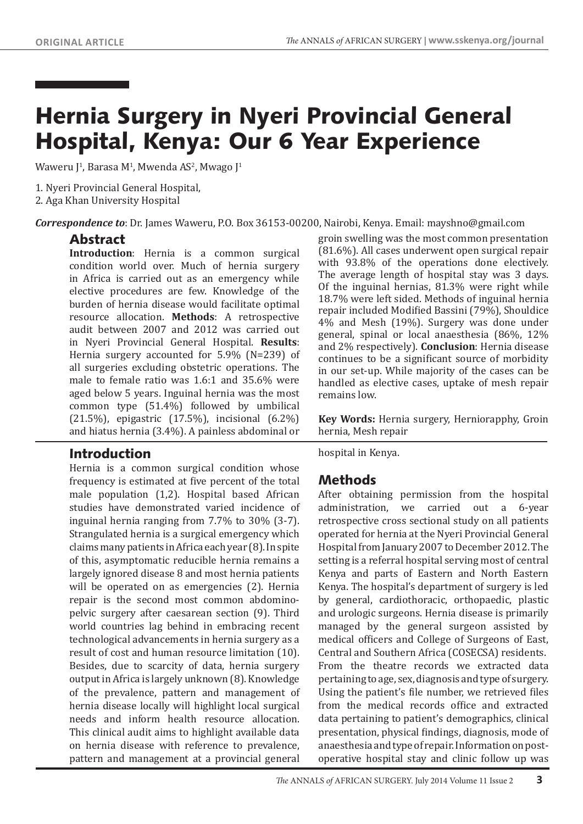# Hernia Surgery in Nyeri Provincial General Hospital, Kenya: Our 6 Year Experience

Waweru J<sup>1</sup>, Barasa M<sup>1</sup>, Mwenda AS<sup>2</sup>, Mwago J<sup>1</sup>

1. Nyeri Provincial General Hospital,

2. Aga Khan University Hospital

*Correspondence to*: Dr. James Waweru, P.O. Box 36153-00200, Nairobi, Kenya. Email: mayshno@gmail.com

### Abstract

**Introduction**: Hernia is a common surgical condition world over. Much of hernia surgery in Africa is carried out as an emergency while elective procedures are few. Knowledge of the burden of hernia disease would facilitate optimal resource allocation. **Methods**: A retrospective audit between 2007 and 2012 was carried out in Nyeri Provincial General Hospital. **Results**: Hernia surgery accounted for 5.9% (N=239) of all surgeries excluding obstetric operations. The male to female ratio was 1.6:1 and 35.6% were aged below 5 years. Inguinal hernia was the most common type (51.4%) followed by umbilical (21.5%), epigastric (17.5%), incisional (6.2%) and hiatus hernia (3.4%). A painless abdominal or

#### Introduction

Hernia is a common surgical condition whose frequency is estimated at five percent of the total male population (1,2). Hospital based African studies have demonstrated varied incidence of inguinal hernia ranging from 7.7% to 30% (3-7). Strangulated hernia is a surgical emergency which claims many patients in Africa each year (8). In spite of this, asymptomatic reducible hernia remains a largely ignored disease 8 and most hernia patients will be operated on as emergencies (2). Hernia repair is the second most common abdominopelvic surgery after caesarean section (9). Third world countries lag behind in embracing recent technological advancements in hernia surgery as a result of cost and human resource limitation (10). Besides, due to scarcity of data, hernia surgery output in Africa is largely unknown (8). Knowledge of the prevalence, pattern and management of hernia disease locally will highlight local surgical needs and inform health resource allocation. This clinical audit aims to highlight available data on hernia disease with reference to prevalence, pattern and management at a provincial general groin swelling was the most common presentation (81.6%). All cases underwent open surgical repair with 93.8% of the operations done electively. The average length of hospital stay was 3 days. Of the inguinal hernias, 81.3% were right while 18.7% were left sided. Methods of inguinal hernia repair included Modified Bassini (79%), Shouldice 4% and Mesh (19%). Surgery was done under general, spinal or local anaesthesia (86%, 12% and 2% respectively). **Conclusion**: Hernia disease continues to be a significant source of morbidity in our set-up. While majority of the cases can be handled as elective cases, uptake of mesh repair remains low.

**Key Words:** Hernia surgery, Herniorapphy, Groin hernia, Mesh repair

hospital in Kenya.

## Methods

After obtaining permission from the hospital<br>administration, we carried out a 6-year we carried out a 6-year retrospective cross sectional study on all patients operated for hernia at the Nyeri Provincial General Hospital from January 2007 to December 2012. The setting is a referral hospital serving most of central Kenya and parts of Eastern and North Eastern Kenya. The hospital's department of surgery is led by general, cardiothoracic, orthopaedic, plastic and urologic surgeons. Hernia disease is primarily managed by the general surgeon assisted by medical officers and College of Surgeons of East, Central and Southern Africa (COSECSA) residents. From the theatre records we extracted data pertaining to age, sex, diagnosis and type of surgery. Using the patient's file number, we retrieved files from the medical records office and extracted data pertaining to patient's demographics, clinical presentation, physical findings, diagnosis, mode of anaesthesia and type of repair. Information on postoperative hospital stay and clinic follow up was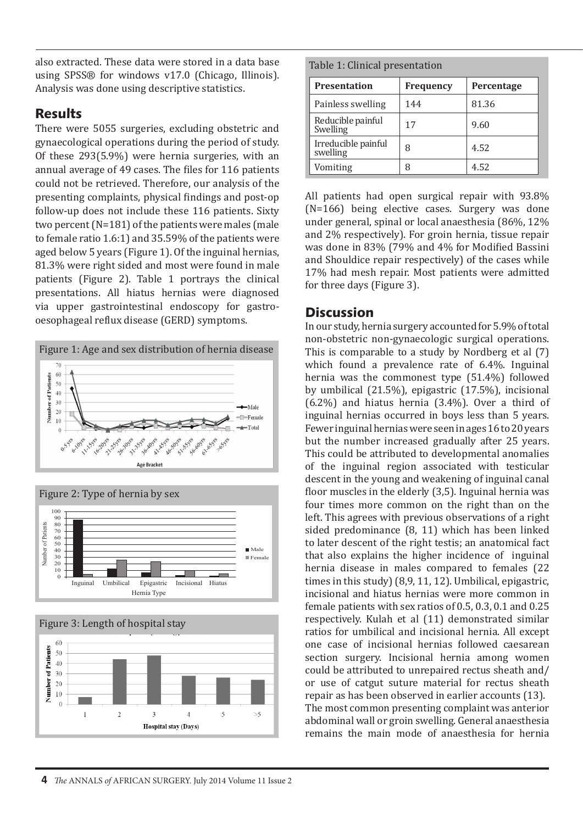also extracted. These data were stored in a data base using SPSS® for windows v17.0 (Chicago, Illinois). Analysis was done using descriptive statistics.

# Results

There were 5055 surgeries, excluding obstetric and gynaecological operations during the period of study. Of these 293(5.9%) were hernia surgeries, with an annual average of 49 cases. The files for 116 patients could not be retrieved. Therefore, our analysis of the presenting complaints, physical findings and post-op follow-up does not include these 116 patients. Sixty two percent (N=181) of the patients were males (male to female ratio 1.6:1) and 35.59% of the patients were aged below 5 years (Figure 1). Of the inguinal hernias, 81.3% were right sided and most were found in male patients (Figure 2). Table 1 portrays the clinical presentations. All hiatus hernias were diagnosed via upper gastrointestinal endoscopy for gastrooesophageal reflux disease (GERD) symptoms.







Table 1: Clinical presentation

| <b>Presentation</b>             | <b>Frequency</b> | Percentage |
|---------------------------------|------------------|------------|
| Painless swelling               | 144              | 81.36      |
| Reducible painful<br>Swelling   | 17               | 9.60       |
| Irreducible painful<br>swelling | 8                | 4.52       |
| Vomiting                        | 8                | 4.52       |

All patients had open surgical repair with 93.8% (N=166) being elective cases. Surgery was done under general, spinal or local anaesthesia (86%, 12% and 2% respectively). For groin hernia, tissue repair was done in 83% (79% and 4% for Modified Bassini and Shouldice repair respectively) of the cases while 17% had mesh repair. Most patients were admitted for three days (Figure 3).

## **Discussion**

In our study, hernia surgery accounted for 5.9% of total non-obstetric non-gynaecologic surgical operations. This is comparable to a study by Nordberg et al (7) which found a prevalence rate of 6.4%. Inguinal hernia was the commonest type (51.4%) followed by umbilical (21.5%), epigastric (17.5%), incisional (6.2%) and hiatus hernia (3.4%). Over a third of inguinal hernias occurred in boys less than 5 years. Fewer inguinal hernias were seen in ages 16 to 20 years but the number increased gradually after 25 years. This could be attributed to developmental anomalies of the inguinal region associated with testicular descent in the young and weakening of inguinal canal floor muscles in the elderly (3,5). Inguinal hernia was four times more common on the right than on the left. This agrees with previous observations of a right sided predominance (8, 11) which has been linked to later descent of the right testis; an anatomical fact that also explains the higher incidence of inguinal hernia disease in males compared to females (22 times in this study) (8,9, 11, 12). Umbilical, epigastric, incisional and hiatus hernias were more common in female patients with sex ratios of 0.5, 0.3, 0.1 and 0.25 respectively. Kulah et al (11) demonstrated similar ratios for umbilical and incisional hernia. All except one case of incisional hernias followed caesarean section surgery. Incisional hernia among women could be attributed to unrepaired rectus sheath and/ or use of catgut suture material for rectus sheath repair as has been observed in earlier accounts (13). The most common presenting complaint was anterior abdominal wall or groin swelling. General anaesthesia remains the main mode of anaesthesia for hernia